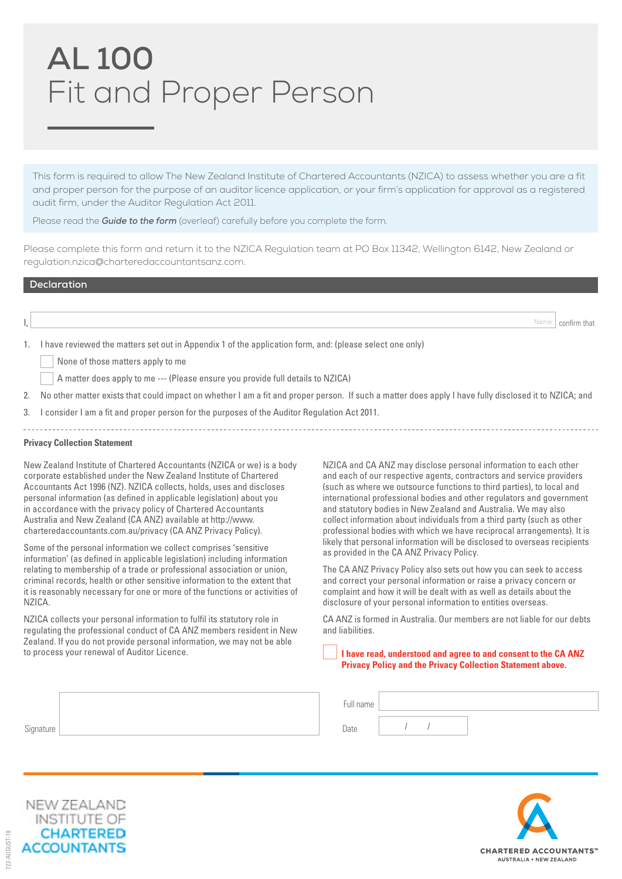# **AL 100** Fit and Proper Person

This form is required to allow The New Zealand Institute of Chartered Accountants (NZICA) to assess whether you are a fit and proper person for the purpose of an auditor licence application, or your firm's application for approval as a registered audit firm, under the Auditor Regulation Act 2011.

Please read the *Guide to the form* (overleaf) carefully before you complete the form.

Please complete this form and return it to the NZICA Regulation team at PO Box 11342, Wellington 6142, New Zealand or regulation.nzica@charteredaccountantsanz.com.

## **Declaration**

|                                                                                                             | Name   confirm that |
|-------------------------------------------------------------------------------------------------------------|---------------------|
| 1. I have reviewed the matters set out in Appendix 1 of the application form, and: (please select one only) |                     |

None of those matters apply to me

- A matter does apply to me --- (Please ensure you provide full details to NZICA)
- 2. No other matter exists that could impact on whether I am a fit and proper person. If such a matter does apply I have fully disclosed it to NZICA; and
- 3. I consider I am a fit and proper person for the purposes of the Auditor Regulation Act 2011.

### **Privacy Collection Statement**

New Zealand Institute of Chartered Accountants (NZICA or we) is a body corporate established under the New Zealand Institute of Chartered Accountants Act 1996 (NZ). NZICA collects, holds, uses and discloses personal information (as defined in applicable legislation) about you in accordance with the privacy policy of Chartered Accountants Australia and New Zealand (CA ANZ) available at http://www. charteredaccountants.com.au/privacy (CA ANZ Privacy Policy).

Some of the personal information we collect comprises 'sensitive information' (as defined in applicable legislation) including information relating to membership of a trade or professional association or union, criminal records, health or other sensitive information to the extent that it is reasonably necessary for one or more of the functions or activities of NZICA.

NZICA collects your personal information to fulfil its statutory role in regulating the professional conduct of CA ANZ members resident in New Zealand. If you do not provide personal information, we may not be able to process your renewal of Auditor Licence.

NZICA and CA ANZ may disclose personal information to each other and each of our respective agents, contractors and service providers (such as where we outsource functions to third parties), to local and international professional bodies and other regulators and government and statutory bodies in New Zealand and Australia. We may also collect information about individuals from a third party (such as other professional bodies with which we have reciprocal arrangements). It is likely that personal information will be disclosed to overseas recipients as provided in the CA ANZ Privacy Policy.

The CA ANZ Privacy Policy also sets out how you can seek to access and correct your personal information or raise a privacy concern or complaint and how it will be dealt with as well as details about the disclosure of your personal information to entities overseas.

CA ANZ is formed in Australia. Our members are not liable for our debts and liabilities.

#### **I have read, understood and agree to and consent to the CA ANZ Privacy Policy and the Privacy Collection Statement above.**

|                     | ull name- |  |  |
|---------------------|-----------|--|--|
| $\sim$<br>Signature | Date      |  |  |



722-AUGUST-18

 $32 - \Delta U1$  $GUST-18$